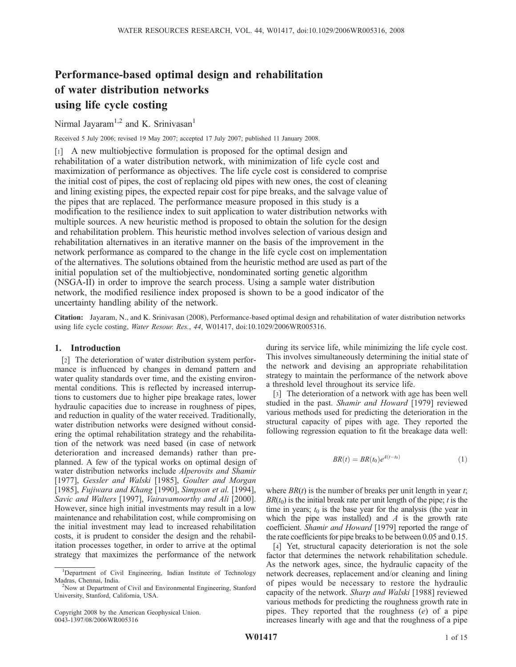# Performance-based optimal design and rehabilitation of water distribution networks using life cycle costing

# Nirmal Jayaram<sup>1,2</sup> and K. Srinivasan<sup>1</sup>

Received 5 July 2006; revised 19 May 2007; accepted 17 July 2007; published 11 January 2008.

[1] A new multiobjective formulation is proposed for the optimal design and rehabilitation of a water distribution network, with minimization of life cycle cost and maximization of performance as objectives. The life cycle cost is considered to comprise the initial cost of pipes, the cost of replacing old pipes with new ones, the cost of cleaning and lining existing pipes, the expected repair cost for pipe breaks, and the salvage value of the pipes that are replaced. The performance measure proposed in this study is a modification to the resilience index to suit application to water distribution networks with multiple sources. A new heuristic method is proposed to obtain the solution for the design and rehabilitation problem. This heuristic method involves selection of various design and rehabilitation alternatives in an iterative manner on the basis of the improvement in the network performance as compared to the change in the life cycle cost on implementation of the alternatives. The solutions obtained from the heuristic method are used as part of the initial population set of the multiobjective, nondominated sorting genetic algorithm (NSGA-II) in order to improve the search process. Using a sample water distribution network, the modified resilience index proposed is shown to be a good indicator of the uncertainty handling ability of the network.

Citation: Jayaram, N., and K. Srinivasan (2008), Performance-based optimal design and rehabilitation of water distribution networks using life cycle costing, Water Resour. Res., 44, W01417, doi:10.1029/2006WR005316.

# 1. Introduction

[2] The deterioration of water distribution system performance is influenced by changes in demand pattern and water quality standards over time, and the existing environmental conditions. This is reflected by increased interruptions to customers due to higher pipe breakage rates, lower hydraulic capacities due to increase in roughness of pipes, and reduction in quality of the water received. Traditionally, water distribution networks were designed without considering the optimal rehabilitation strategy and the rehabilitation of the network was need based (in case of network deterioration and increased demands) rather than preplanned. A few of the typical works on optimal design of water distribution networks include Alperovits and Shamir [1977], Gessler and Walski [1985], Goulter and Morgan [1985], Fujiwara and Khang [1990], Simpson et al. [1994], Savic and Walters [1997], Vairavamoorthy and Ali [2000]. However, since high initial investments may result in a low maintenance and rehabilitation cost, while compromising on the initial investment may lead to increased rehabilitation costs, it is prudent to consider the design and the rehabilitation processes together, in order to arrive at the optimal strategy that maximizes the performance of the network

Copyright 2008 by the American Geophysical Union. 0043-1397/08/2006WR005316

during its service life, while minimizing the life cycle cost. This involves simultaneously determining the initial state of the network and devising an appropriate rehabilitation strategy to maintain the performance of the network above a threshold level throughout its service life.

[3] The deterioration of a network with age has been well studied in the past. Shamir and Howard [1979] reviewed various methods used for predicting the deterioration in the structural capacity of pipes with age. They reported the following regression equation to fit the breakage data well:

$$
BR(t) = BR(t_0)e^{A(t-t_0)}\tag{1}
$$

where  $BR(t)$  is the number of breaks per unit length in year t;  $BR(t_0)$  is the initial break rate per unit length of the pipe; t is the time in years;  $t_0$  is the base year for the analysis (the year in which the pipe was installed) and  $A$  is the growth rate coefficient. Shamir and Howard [1979] reported the range of the rate coefficients for pipe breaks to be between 0.05 and 0.15.

[4] Yet, structural capacity deterioration is not the sole factor that determines the network rehabilitation schedule. As the network ages, since, the hydraulic capacity of the network decreases, replacement and/or cleaning and lining of pipes would be necessary to restore the hydraulic capacity of the network. Sharp and Walski [1988] reviewed various methods for predicting the roughness growth rate in pipes. They reported that the roughness (e) of a pipe increases linearly with age and that the roughness of a pipe

<sup>1</sup>Department of Civil Engineering, Indian Institute of Technology Madras, Chennai, India.

<sup>&</sup>lt;sup>2</sup>Now at Department of Civil and Environmental Engineering, Stanford University, Stanford, California, USA.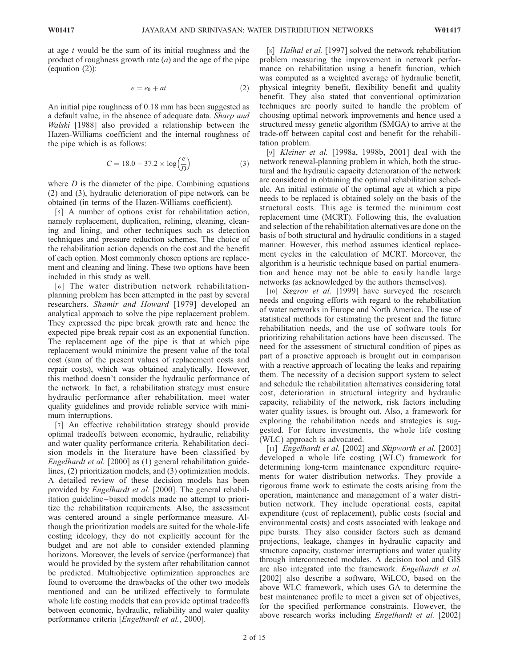at age t would be the sum of its initial roughness and the product of roughness growth rate  $(a)$  and the age of the pipe (equation (2)):

$$
e = e_0 + at \tag{2}
$$

An initial pipe roughness of 0.18 mm has been suggested as a default value, in the absence of adequate data. Sharp and Walski [1988] also provided a relationship between the Hazen-Williams coefficient and the internal roughness of the pipe which is as follows:

$$
C = 18.0 - 37.2 \times \log\left(\frac{e}{D}\right) \tag{3}
$$

where  $D$  is the diameter of the pipe. Combining equations (2) and (3), hydraulic deterioration of pipe network can be obtained (in terms of the Hazen-Williams coefficient).

[5] A number of options exist for rehabilitation action, namely replacement, duplication, relining, cleaning, cleaning and lining, and other techniques such as detection techniques and pressure reduction schemes. The choice of the rehabilitation action depends on the cost and the benefit of each option. Most commonly chosen options are replacement and cleaning and lining. These two options have been included in this study as well.

[6] The water distribution network rehabilitationplanning problem has been attempted in the past by several researchers. Shamir and Howard [1979] developed an analytical approach to solve the pipe replacement problem. They expressed the pipe break growth rate and hence the expected pipe break repair cost as an exponential function. The replacement age of the pipe is that at which pipe replacement would minimize the present value of the total cost (sum of the present values of replacement costs and repair costs), which was obtained analytically. However, this method doesn't consider the hydraulic performance of the network. In fact, a rehabilitation strategy must ensure hydraulic performance after rehabilitation, meet water quality guidelines and provide reliable service with minimum interruptions.

[7] An effective rehabilitation strategy should provide optimal tradeoffs between economic, hydraulic, reliability and water quality performance criteria. Rehabilitation decision models in the literature have been classified by Engelhardt et al. [2000] as (1) general rehabilitation guidelines, (2) prioritization models, and (3) optimization models. A detailed review of these decision models has been provided by Engelhardt et al. [2000]. The general rehabilitation guideline – based models made no attempt to prioritize the rehabilitation requirements. Also, the assessment was centered around a single performance measure. Although the prioritization models are suited for the whole-life costing ideology, they do not explicitly account for the budget and are not able to consider extended planning horizons. Moreover, the levels of service (performance) that would be provided by the system after rehabilitation cannot be predicted. Multiobjective optimization approaches are found to overcome the drawbacks of the other two models mentioned and can be utilized effectively to formulate whole life costing models that can provide optimal tradeoffs between economic, hydraulic, reliability and water quality performance criteria [Engelhardt et al., 2000].

[8] *Halhal et al.* [1997] solved the network rehabilitation problem measuring the improvement in network performance on rehabilitation using a benefit function, which was computed as a weighted average of hydraulic benefit, physical integrity benefit, flexibility benefit and quality benefit. They also stated that conventional optimization techniques are poorly suited to handle the problem of choosing optimal network improvements and hence used a structured messy genetic algorithm (SMGA) to arrive at the trade-off between capital cost and benefit for the rehabilitation problem.

[9] Kleiner et al. [1998a, 1998b, 2001] deal with the network renewal-planning problem in which, both the structural and the hydraulic capacity deterioration of the network are considered in obtaining the optimal rehabilitation schedule. An initial estimate of the optimal age at which a pipe needs to be replaced is obtained solely on the basis of the structural costs. This age is termed the minimum cost replacement time (MCRT). Following this, the evaluation and selection of the rehabilitation alternatives are done on the basis of both structural and hydraulic conditions in a staged manner. However, this method assumes identical replacement cycles in the calculation of MCRT. Moreover, the algorithm is a heuristic technique based on partial enumeration and hence may not be able to easily handle large networks (as acknowledged by the authors themselves).

[10] Sægrov et al. [1999] have surveyed the research needs and ongoing efforts with regard to the rehabilitation of water networks in Europe and North America. The use of statistical methods for estimating the present and the future rehabilitation needs, and the use of software tools for prioritizing rehabilitation actions have been discussed. The need for the assessment of structural condition of pipes as part of a proactive approach is brought out in comparison with a reactive approach of locating the leaks and repairing them. The necessity of a decision support system to select and schedule the rehabilitation alternatives considering total cost, deterioration in structural integrity and hydraulic capacity, reliability of the network, risk factors including water quality issues, is brought out. Also, a framework for exploring the rehabilitation needs and strategies is suggested. For future investments, the whole life costing (WLC) approach is advocated.

[11] *Engelhardt et al.* [2002] and *Skipworth et al.* [2003] developed a whole life costing (WLC) framework for determining long-term maintenance expenditure requirements for water distribution networks. They provide a rigorous frame work to estimate the costs arising from the operation, maintenance and management of a water distribution network. They include operational costs, capital expenditure (cost of replacement), public costs (social and environmental costs) and costs associated with leakage and pipe bursts. They also consider factors such as demand projections, leakage, changes in hydraulic capacity and structure capacity, customer interruptions and water quality through interconnected modules. A decision tool and GIS are also integrated into the framework. Engelhardt et al. [2002] also describe a software, WiLCO, based on the above WLC framework, which uses GA to determine the best maintenance profile to meet a given set of objectives, for the specified performance constraints. However, the above research works including *Engelhardt et al.* [2002]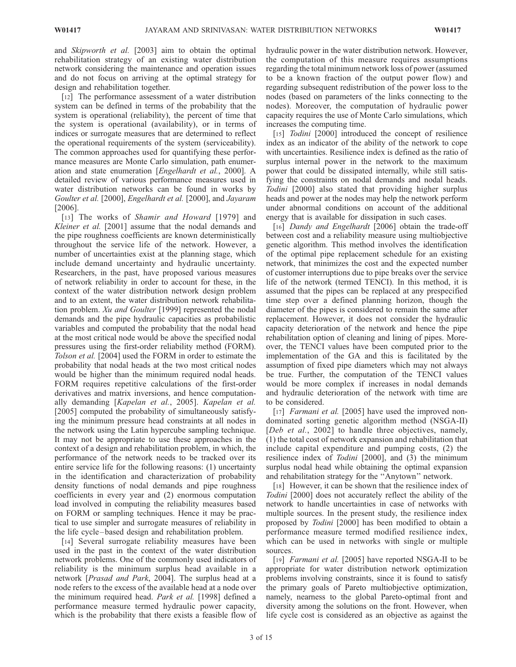and Skipworth et al. [2003] aim to obtain the optimal rehabilitation strategy of an existing water distribution network considering the maintenance and operation issues and do not focus on arriving at the optimal strategy for design and rehabilitation together.

[12] The performance assessment of a water distribution system can be defined in terms of the probability that the system is operational (reliability), the percent of time that the system is operational (availability), or in terms of indices or surrogate measures that are determined to reflect the operational requirements of the system (serviceability). The common approaches used for quantifying these performance measures are Monte Carlo simulation, path enumeration and state enumeration [*Engelhardt et al.*, 2000]. A detailed review of various performance measures used in water distribution networks can be found in works by Goulter et al. [2000], Engelhardt et al. [2000], and Jayaram [2006].

[13] The works of Shamir and Howard [1979] and Kleiner et al. [2001] assume that the nodal demands and the pipe roughness coefficients are known deterministically throughout the service life of the network. However, a number of uncertainties exist at the planning stage, which include demand uncertainty and hydraulic uncertainty. Researchers, in the past, have proposed various measures of network reliability in order to account for these, in the context of the water distribution network design problem and to an extent, the water distribution network rehabilitation problem. Xu and Goulter [1999] represented the nodal demands and the pipe hydraulic capacities as probabilistic variables and computed the probability that the nodal head at the most critical node would be above the specified nodal pressures using the first-order reliability method (FORM). Tolson et al. [2004] used the FORM in order to estimate the probability that nodal heads at the two most critical nodes would be higher than the minimum required nodal heads. FORM requires repetitive calculations of the first-order derivatives and matrix inversions, and hence computationally demanding [Kapelan et al., 2005]. Kapelan et al. [2005] computed the probability of simultaneously satisfying the minimum pressure head constraints at all nodes in the network using the Latin hypercube sampling technique. It may not be appropriate to use these approaches in the context of a design and rehabilitation problem, in which, the performance of the network needs to be tracked over its entire service life for the following reasons: (1) uncertainty in the identification and characterization of probability density functions of nodal demands and pipe roughness coefficients in every year and (2) enormous computation load involved in computing the reliability measures based on FORM or sampling techniques. Hence it may be practical to use simpler and surrogate measures of reliability in the life cycle – based design and rehabilitation problem.

[14] Several surrogate reliability measures have been used in the past in the context of the water distribution network problems. One of the commonly used indicators of reliability is the minimum surplus head available in a network [Prasad and Park, 2004]. The surplus head at a node refers to the excess of the available head at a node over the minimum required head. Park et al. [1998] defined a performance measure termed hydraulic power capacity, which is the probability that there exists a feasible flow of hydraulic power in the water distribution network. However, the computation of this measure requires assumptions regarding the total minimum network loss of power (assumed to be a known fraction of the output power flow) and regarding subsequent redistribution of the power loss to the nodes (based on parameters of the links connecting to the nodes). Moreover, the computation of hydraulic power capacity requires the use of Monte Carlo simulations, which increases the computing time.

[15] *Todini* [2000] introduced the concept of resilience index as an indicator of the ability of the network to cope with uncertainties. Resilience index is defined as the ratio of surplus internal power in the network to the maximum power that could be dissipated internally, while still satisfying the constraints on nodal demands and nodal heads. Todini [2000] also stated that providing higher surplus heads and power at the nodes may help the network perform under abnormal conditions on account of the additional energy that is available for dissipation in such cases.

[16] *Dandy and Engelhardt* [2006] obtain the trade-off between cost and a reliability measure using multiobjective genetic algorithm. This method involves the identification of the optimal pipe replacement schedule for an existing network, that minimizes the cost and the expected number of customer interruptions due to pipe breaks over the service life of the network (termed TENCI). In this method, it is assumed that the pipes can be replaced at any prespecified time step over a defined planning horizon, though the diameter of the pipes is considered to remain the same after replacement. However, it does not consider the hydraulic capacity deterioration of the network and hence the pipe rehabilitation option of cleaning and lining of pipes. Moreover, the TENCI values have been computed prior to the implementation of the GA and this is facilitated by the assumption of fixed pipe diameters which may not always be true. Further, the computation of the TENCI values would be more complex if increases in nodal demands and hydraulic deterioration of the network with time are to be considered.

[17] *Farmani et al.* [2005] have used the improved nondominated sorting genetic algorithm method (NSGA-II) [Deb et al., 2002] to handle three objectives, namely, (1) the total cost of network expansion and rehabilitation that include capital expenditure and pumping costs, (2) the resilience index of *Todini* [2000], and (3) the minimum surplus nodal head while obtaining the optimal expansion and rehabilitation strategy for the ''Anytown'' network.

[18] However, it can be shown that the resilience index of Todini [2000] does not accurately reflect the ability of the network to handle uncertainties in case of networks with multiple sources. In the present study, the resilience index proposed by Todini [2000] has been modified to obtain a performance measure termed modified resilience index, which can be used in networks with single or multiple sources.

[19] *Farmani et al.* [2005] have reported NSGA-II to be appropriate for water distribution network optimization problems involving constraints, since it is found to satisfy the primary goals of Pareto multiobjective optimization, namely, nearness to the global Pareto-optimal front and diversity among the solutions on the front. However, when life cycle cost is considered as an objective as against the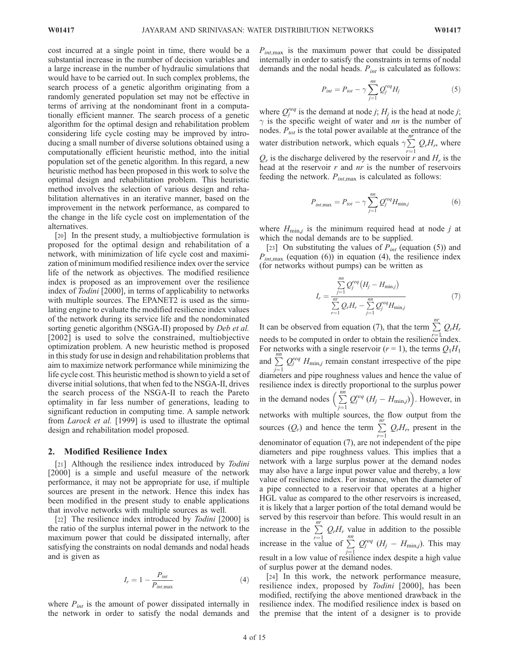cost incurred at a single point in time, there would be a substantial increase in the number of decision variables and a large increase in the number of hydraulic simulations that would have to be carried out. In such complex problems, the search process of a genetic algorithm originating from a randomly generated population set may not be effective in terms of arriving at the nondominant front in a computationally efficient manner. The search process of a genetic algorithm for the optimal design and rehabilitation problem considering life cycle costing may be improved by introducing a small number of diverse solutions obtained using a computationally efficient heuristic method, into the initial population set of the genetic algorithm. In this regard, a new heuristic method has been proposed in this work to solve the optimal design and rehabilitation problem. This heuristic method involves the selection of various design and rehabilitation alternatives in an iterative manner, based on the improvement in the network performance, as compared to the change in the life cycle cost on implementation of the alternatives.

[20] In the present study, a multiobjective formulation is proposed for the optimal design and rehabilitation of a network, with minimization of life cycle cost and maximization of minimum modified resilience index over the service life of the network as objectives. The modified resilience index is proposed as an improvement over the resilience index of Todini [2000], in terms of applicability to networks with multiple sources. The EPANET2 is used as the simulating engine to evaluate the modified resilience index values of the network during its service life and the nondominated sorting genetic algorithm (NSGA-II) proposed by *Deb et al.* [2002] is used to solve the constrained, multiobjective optimization problem. A new heuristic method is proposed in this study for use in design and rehabilitation problems that aim to maximize network performance while minimizing the life cycle cost. This heuristic method is shown to yield a set of diverse initial solutions, that when fed to the NSGA-II, drives the search process of the NSGA-II to reach the Pareto optimality in far less number of generations, leading to significant reduction in computing time. A sample network from *Larock et al.* [1999] is used to illustrate the optimal design and rehabilitation model proposed.

### 2. Modified Resilience Index

[21] Although the resilience index introduced by *Todini* [2000] is a simple and useful measure of the network performance, it may not be appropriate for use, if multiple sources are present in the network. Hence this index has been modified in the present study to enable applications that involve networks with multiple sources as well.

[22] The resilience index introduced by *Todini* [2000] is the ratio of the surplus internal power in the network to the maximum power that could be dissipated internally, after satisfying the constraints on nodal demands and nodal heads and is given as

$$
I_r = 1 - \frac{P_{int}}{P_{int,max}} \tag{4}
$$

where  $P_{int}$  is the amount of power dissipated internally in the network in order to satisfy the nodal demands and  $P_{int,max}$  is the maximum power that could be dissipated internally in order to satisfy the constraints in terms of nodal demands and the nodal heads.  $P_{int}$  is calculated as follows:

$$
P_{int} = P_{tot} - \gamma \sum_{j=1}^{nn} Q_j^{req} H_j
$$
 (5)

where  $Q_j^{req}$  is the demand at node *j*;  $H_j$  is the head at node *j*;  $\gamma$  is the specific weight of water and nn is the number of nodes.  $P_{tot}$  is the total power available at the entrance of the water distribution network, which equals  $\gamma \sum_{n=1}^{n}$  $\sum_{r=1} Q_r H_r$ , where  $Q_r$  is the discharge delivered by the reservoir r and  $H_r$  is the head at the reservoir  $r$  and  $nr$  is the number of reservoirs feeding the network.  $P_{int,max}$  is calculated as follows:

$$
P_{int, \max} = P_{tot} - \gamma \sum_{j=1}^{m} Q_j^{req} H_{\min,j}
$$
 (6)

where  $H_{\text{min},j}$  is the minimum required head at node j at which the nodal demands are to be supplied.

[23] On substituting the values of  $P_{int}$  (equation (5)) and  $P_{int, max}$  (equation (6)) in equation (4), the resilience index (for networks without pumps) can be written as

$$
I_r = \frac{\sum_{j=1}^{m} Q_j^{req} (H_j - H_{\min,j})}{\sum_{r=1}^{m} Q_r H_r - \sum_{j=1}^{m} Q_j^{req} H_{\min,j}}
$$
(7)

It can be observed from equation (7), that the term  $\sum_{n=1}^{n} Q_n H_n$ needs to be computed in order to obtain the resilience index. For networks with a single reservoir ( $r = 1$ ), the terms  $Q_1H_1$ and  $\sum_{m} Q_j^{req} H_{\text{min},j}$  remain constant irrespective of the pipe diameters and pipe roughness values and hence the value of resilience index is directly proportional to the surplus power in the demand nodes  $\left(\sum_{n=1}^{n} a_n\right)^n$  $\sum_{j=1}^{m} Q_j^{req} (H_j - H_{\text{min},j})$ . However, in networks with multiple sources, the flow output from the sources  $(Q_r)$  and hence the term  $\sum_{n=1}^{\infty}$  $\sum_{r=1} Q_r H_r$ , present in the denominator of equation (7), are not independent of the pipe diameters and pipe roughness values. This implies that a network with a large surplus power at the demand nodes may also have a large input power value and thereby, a low value of resilience index. For instance, when the diameter of a pipe connected to a reservoir that operates at a higher HGL value as compared to the other reservoirs is increased, it is likely that a larger portion of the total demand would be served by this reservoir than before. This would result in an increase in the  $\sum_{n=1}^{n}$  $\sum_{r=1}$   $Q_rH_r$  value in addition to the possible increase in the value of  $\sum_{n=1}^{\infty}$  $\sum_{j=1}^{m} Q_j^{req} (H_j - H_{\min,j})$ . This may result in a low value of resilience index despite a high value of surplus power at the demand nodes.

[24] In this work, the network performance measure, resilience index, proposed by *Todini* [2000], has been modified, rectifying the above mentioned drawback in the resilience index. The modified resilience index is based on the premise that the intent of a designer is to provide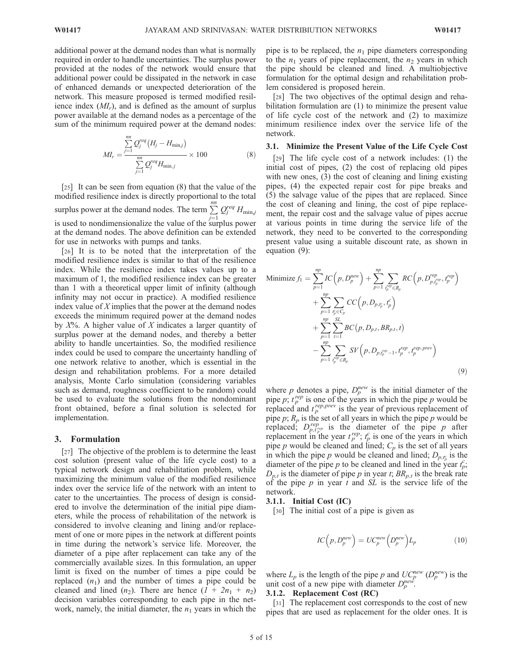additional power at the demand nodes than what is normally required in order to handle uncertainties. The surplus power provided at the nodes of the network would ensure that additional power could be dissipated in the network in case of enhanced demands or unexpected deterioration of the network. This measure proposed is termed modified resilience index  $(M_1)$ , and is defined as the amount of surplus power available at the demand nodes as a percentage of the sum of the minimum required power at the demand nodes:

$$
MI_r = \frac{\sum_{j=1}^{mn} Q_j^{req} (H_j - H_{\min,j})}{\sum_{j=1}^{mn} Q_j^{req} H_{\min,j}} \times 100
$$
 (8)

[25] It can be seen from equation (8) that the value of the modified resilience index is directly proportional to the total surplus power at the demand nodes. The term  $\sum_{j=1}^{n} Q_j^{req} H_{\text{min},j}$ is used to nondimensionalize the value of the surplus power at the demand nodes. The above definition can be extended for use in networks with pumps and tanks.

[26] It is to be noted that the interpretation of the modified resilience index is similar to that of the resilience index. While the resilience index takes values up to a maximum of 1, the modified resilience index can be greater than 1 with a theoretical upper limit of infinity (although infinity may not occur in practice). A modified resilience index value of  $X$  implies that the power at the demand nodes exceeds the minimum required power at the demand nodes by  $X\%$ . A higher value of X indicates a larger quantity of surplus power at the demand nodes, and thereby a better ability to handle uncertainties. So, the modified resilience index could be used to compare the uncertainty handling of one network relative to another, which is essential in the design and rehabilitation problems. For a more detailed analysis, Monte Carlo simulation (considering variables such as demand, roughness coefficient to be random) could be used to evaluate the solutions from the nondominant front obtained, before a final solution is selected for implementation.

### 3. Formulation

[27] The objective of the problem is to determine the least cost solution (present value of the life cycle cost) to a typical network design and rehabilitation problem, while maximizing the minimum value of the modified resilience index over the service life of the network with an intent to cater to the uncertainties. The process of design is considered to involve the determination of the initial pipe diameters, while the process of rehabilitation of the network is considered to involve cleaning and lining and/or replacement of one or more pipes in the network at different points in time during the network's service life. Moreover, the diameter of a pipe after replacement can take any of the commercially available sizes. In this formulation, an upper limit is fixed on the number of times a pipe could be replaced  $(n_1)$  and the number of times a pipe could be cleaned and lined  $(n_2)$ . There are hence  $(1 + 2n_1 + n_2)$ decision variables corresponding to each pipe in the network, namely, the initial diameter, the  $n_1$  years in which the

pipe is to be replaced, the  $n_1$  pipe diameters corresponding to the  $n_1$  years of pipe replacement, the  $n_2$  years in which the pipe should be cleaned and lined. A multiobjective formulation for the optimal design and rehabilitation problem considered is proposed herein.

[28] The two objectives of the optimal design and rehabilitation formulation are (1) to minimize the present value of life cycle cost of the network and (2) to maximize minimum resilience index over the service life of the network.

### 3.1. Minimize the Present Value of the Life Cycle Cost

[29] The life cycle cost of a network includes: (1) the initial cost of pipes, (2) the cost of replacing old pipes with new ones, (3) the cost of cleaning and lining existing pipes, (4) the expected repair cost for pipe breaks and (5) the salvage value of the pipes that are replaced. Since the cost of cleaning and lining, the cost of pipe replacement, the repair cost and the salvage value of pipes accrue at various points in time during the service life of the network, they need to be converted to the corresponding present value using a suitable discount rate, as shown in equation (9):

Minimize 
$$
f_1 = \sum_{p=1}^{np} IC(p, D_p^{new}) + \sum_{p=1}^{np} \sum_{t_p^{rep} \in R_p} RC(p, D_{p, t_p^{rep}}^{rep}, t_p^{rep})
$$
  
+  $\sum_{p=1}^{np} \sum_{t_p^{e} \in C_p} CC(p, D_{p, t_p^{e}}, t_p^{e})$   
+  $\sum_{p=1}^{np} \sum_{t=1}^{SL} BC(p, D_{p, t}, BR_{p, t}, t)$   
-  $\sum_{p=1}^{np} \sum_{t_p^{rep} \in R_p} SV(p, D_{p, t_p^{rep}}, t_p^{rep}, t_p^{rep}, t_p^{rep, prev})$  (9)

where p denotes a pipe,  $D_p^{new}$  is the initial diameter of the pipe p;  $t_p^{rep}$  is one of the years in which the pipe p would be replaced and  $t_p^{rep,prev}$  is the year of previous replacement of pipe  $p$ ;  $R_p$  is the set of all years in which the pipe p would be replaced;  $D_{p,t_{p}^{rep}}^{rep}$  is the diameter of the pipe p after replacement in the year  $t_p^{rep}$ ;  $t_p^c$  is one of the years in which pipe p would be cleaned and lined;  $C_p$  is the set of all years in which the pipe p would be cleaned and lined;  $D_{p,t_p^c}$  is the diameter of the pipe p to be cleaned and lined in the year  $t_p^c$ ;  $D_{p,t}$  is the diameter of pipe p in year t;  $BR_{p,t}$  is the break rate of the pipe  $p$  in year  $t$  and  $SL$  is the service life of the network.

3.1.1. Initial Cost (IC)

[30] The initial cost of a pipe is given as

$$
IC(p, D_p^{new}) = UC_p^{new}(D_p^{new})L_p
$$
 (10)

where  $L_p$  is the length of the pipe p and  $UC_p^{new}(D_p^{new})$  is the unit cost of a new pipe with diameter  $D_p^{new}$ .

#### 3.1.2. Replacement Cost (RC)

[31] The replacement cost corresponds to the cost of new pipes that are used as replacement for the older ones. It is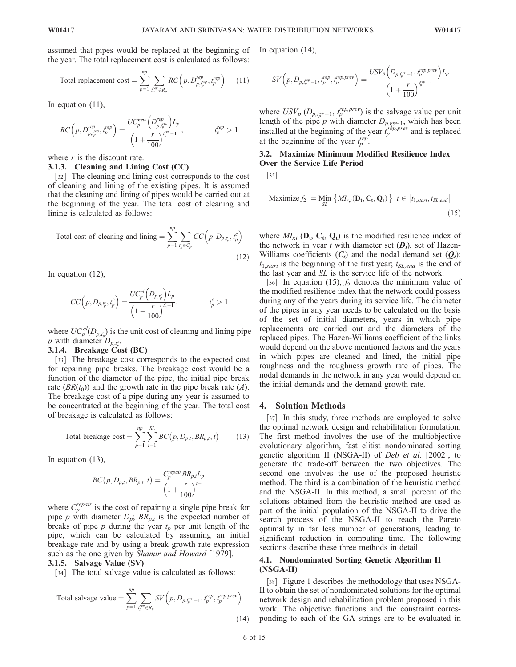assumed that pipes would be replaced at the beginning of the year. The total replacement cost is calculated as follows:

Total replacement cost = 
$$
\sum_{p=1}^{np} \sum_{t_p^{rep} \in R_p} RC\left(p, D_{p,t_p^{rep}}^{rep}, t_p^{rep}\right)
$$
 (11)

In equation (11),

$$
RC(p, D_{p, f_p}^{rep}, t_p^{rep}) = \frac{UC_p^{new}(D_{p, f_p}^{rep})L_p}{\left(1 + \frac{r}{100}\right)^{t_p^{op}-1}}, \qquad t_p^{rep} > 1
$$

where  $r$  is the discount rate.

# 3.1.3. Cleaning and Lining Cost (CC)

[32] The cleaning and lining cost corresponds to the cost of cleaning and lining of the existing pipes. It is assumed that the cleaning and lining of pipes would be carried out at the beginning of the year. The total cost of cleaning and lining is calculated as follows:

Total cost of cleaning and limiting 
$$
=\sum_{p=1}^{np} \sum_{t_p^c \in C_p} CC(p, D_{p,t_p^c}, t_p^c)
$$
 (12)

In equation (12),

$$
CC(p, D_{p, r_p^c}, t_p^c) = \frac{UC_p^{cl}(D_{p, r_p^c})L_p}{\left(1 + \frac{r}{100}\right)^{r_p^c - 1}}, \qquad t_p^c > 1
$$

where  $UC_p^{cl}(D_{p,t_p^c})$  is the unit cost of cleaning and lining pipe p with diameter  $D_{p,t_p^c}$ .

# 3.1.4. Breakage Cost (BC)

[33] The breakage cost corresponds to the expected cost for repairing pipe breaks. The breakage cost would be a function of the diameter of the pipe, the initial pipe break rate  $(BR(t_0))$  and the growth rate in the pipe break rate  $(A)$ . The breakage cost of a pipe during any year is assumed to be concentrated at the beginning of the year. The total cost of breakage is calculated as follows:

$$
\text{Total breakage cost} = \sum_{p=1}^{np} \sum_{t=1}^{SL} BC(p, D_{p,t}, BR_{p,t}, t) \tag{13}
$$

In equation (13),

$$
BC(p, D_{p,t}, BR_{p,t}, t) = \frac{C_p^{repair}BR_{p,t}L_p}{\left(1 + \frac{r}{100}\right)^{t-1}}
$$

where  $C_p^{repair}$  is the cost of repairing a single pipe break for pipe p with diameter  $D_p$ ;  $BR_{p,t}$  is the expected number of breaks of pipe  $p$  during the year  $t_p$  per unit length of the pipe, which can be calculated by assuming an initial breakage rate and by using a break growth rate expression such as the one given by Shamir and Howard [1979].

### 3.1.5. Salvage Value (SV)

[34] The total salvage value is calculated as follows:

Total salvage value = 
$$
\sum_{p=1}^{np} \sum_{t_p^{rep} \in R_p} SV(p, D_{p,t_p^{rep}-1}, t_p^{rep}, t_p^{rep,prev})
$$
\n(14)

In equation (14),

$$
SV\left(p,D_{p,f_p^{rep}-1},t_p^{rep},t_p^{rep,prev}\right) = \frac{USV_p\left(D_{p,f_p^{rep}-1},t_p^{rep,prev}\right)L_p}{\left(1+\frac{r}{100}\right)^{f_p^{rep}-1}}
$$

where  $USV_p (D_{p, t_p^{rep}-1}, t_p^{rep, prev})$  is the salvage value per unit length of the pipe p with diameter  $D_{p, t_p^{rep-1}}$ , which has been installed at the beginning of the year  $t_{p}^{rep,prev}$  and is replaced at the beginning of the year  $t_p^{rep}$ .

# 3.2. Maximize Minimum Modified Resilience Index Over the Service Life Period

[35]

$$
\text{Maximize} \ f_2 \ = \ \mathop{\rm Min}_{SL} \left\{ M_{r,t}(\mathbf{D_t}, \mathbf{C_t}, \mathbf{Q_t}) \right\} \ t \in \left[ t_{1,start}, t_{SL,end} \right] \tag{15}
$$

where  $M_{r,t}$  ( $\mathbf{D_t}$ ,  $\mathbf{C_t}$ ,  $\mathbf{Q_t}$ ) is the modified resilience index of the network in year t with diameter set  $(D_t)$ , set of Hazen-Williams coefficients  $(C_t)$  and the nodal demand set  $(Q_t)$ ;  $t_{1,start}$  is the beginning of the first year;  $t_{SL,end}$  is the end of the last year and SL is the service life of the network.

[36] In equation (15),  $f_2$  denotes the minimum value of the modified resilience index that the network could possess during any of the years during its service life. The diameter of the pipes in any year needs to be calculated on the basis of the set of initial diameters, years in which pipe replacements are carried out and the diameters of the replaced pipes. The Hazen-Williams coefficient of the links would depend on the above mentioned factors and the years in which pipes are cleaned and lined, the initial pipe roughness and the roughness growth rate of pipes. The nodal demands in the network in any year would depend on the initial demands and the demand growth rate.

### 4. Solution Methods

[37] In this study, three methods are employed to solve the optimal network design and rehabilitation formulation. The first method involves the use of the multiobjective evolutionary algorithm, fast elitist nondominated sorting genetic algorithm II (NSGA-II) of *Deb et al.* [2002], to generate the trade-off between the two objectives. The second one involves the use of the proposed heuristic method. The third is a combination of the heuristic method and the NSGA-II. In this method, a small percent of the solutions obtained from the heuristic method are used as part of the initial population of the NSGA-II to drive the search process of the NSGA-II to reach the Pareto optimality in far less number of generations, leading to significant reduction in computing time. The following sections describe these three methods in detail.

# 4.1. Nondominated Sorting Genetic Algorithm II (NSGA-II)

[38] Figure 1 describes the methodology that uses NSGA-II to obtain the set of nondominated solutions for the optimal network design and rehabilitation problem proposed in this work. The objective functions and the constraint corresponding to each of the GA strings are to be evaluated in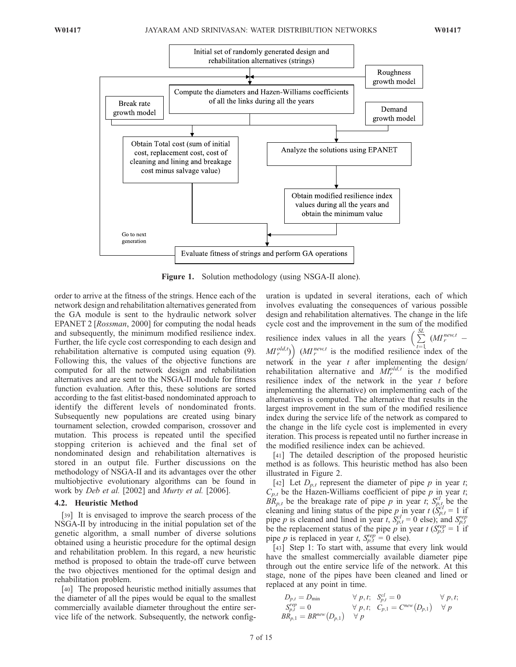

Figure 1. Solution methodology (using NSGA-II alone).

order to arrive at the fitness of the strings. Hence each of the network design and rehabilitation alternatives generated from the GA module is sent to the hydraulic network solver EPANET 2 [Rossman, 2000] for computing the nodal heads and subsequently, the minimum modified resilience index. Further, the life cycle cost corresponding to each design and rehabilitation alternative is computed using equation (9). Following this, the values of the objective functions are computed for all the network design and rehabilitation alternatives and are sent to the NSGA-II module for fitness function evaluation. After this, these solutions are sorted according to the fast elitist-based nondominated approach to identify the different levels of nondominated fronts. Subsequently new populations are created using binary tournament selection, crowded comparison, crossover and mutation. This process is repeated until the specified stopping criterion is achieved and the final set of nondominated design and rehabilitation alternatives is stored in an output file. Further discussions on the methodology of NSGA-II and its advantages over the other multiobjective evolutionary algorithms can be found in work by Deb et al. [2002] and Murty et al. [2006].

### 4.2. Heuristic Method

[39] It is envisaged to improve the search process of the NSGA-II by introducing in the initial population set of the genetic algorithm, a small number of diverse solutions obtained using a heuristic procedure for the optimal design and rehabilitation problem. In this regard, a new heuristic method is proposed to obtain the trade-off curve between the two objectives mentioned for the optimal design and rehabilitation problem.

[40] The proposed heuristic method initially assumes that the diameter of all the pipes would be equal to the smallest commercially available diameter throughout the entire service life of the network. Subsequently, the network configuration is updated in several iterations, each of which involves evaluating the consequences of various possible design and rehabilitation alternatives. The change in the life cycle cost and the improvement in the sum of the modified resilience index values in all the years  $\left(\sum_{n=1}^{S} x_n\right)^{N}$  $\sum_{t=1}^{\infty} \left( M I_r^{new,t} \right)$  $(M_r^{old,t})$   $(M_r^{new,t}$  is the modified resilience index of the network in the year  $t$  after implementing the design/ rehabilitation alternative and  $M_r^{old,t}$  is the modified resilience index of the network in the year  $t$  before implementing the alternative) on implementing each of the alternatives is computed. The alternative that results in the largest improvement in the sum of the modified resilience index during the service life of the network as compared to the change in the life cycle cost is implemented in every iteration. This process is repeated until no further increase in the modified resilience index can be achieved.

[41] The detailed description of the proposed heuristic method is as follows. This heuristic method has also been illustrated in Figure 2.

[42] Let  $D_{p,t}$  represent the diameter of pipe p in year t;  $C_{p,t}$  be the Hazen-Williams coefficient of pipe p in year t;  $BR_{p,t}$  be the breakage rate of pipe p in year t;  $S_{p,t}^{cl}$  be the cleaning and lining status of the pipe p in year t  $(S_{p,t}^{cl} = 1)$  if pipe p is cleaned and lined in year t,  $S_{p,t}^{cl} = 0$  else); and  $S_{p,t}^{rep}$ be the replacement status of the pipe p in year  $t$  ( $S_{p,t}^{rep} = 1$  if pipe p is replaced in year t,  $S_{p,t}^{rep-1} = 0$  else).

[43] Step 1: To start with, assume that every link would have the smallest commercially available diameter pipe through out the entire service life of the network. At this stage, none of the pipes have been cleaned and lined or replaced at any point in time.

$$
\begin{array}{lll} D_{p,t}=D_{\min} & \forall\; p,t; \quad S^{cl}_{p,t}=0 & \forall\; p,t; \\ S^{rep}_{p,t}=0 & \forall\; p,t; \quad C_{p,1}=C^{new}\big(D_{p,1}\big) & \forall\; p \\ BR_{p,1}=BR^{new}\big(D_{p,1}\big) & \forall\; p \end{array}
$$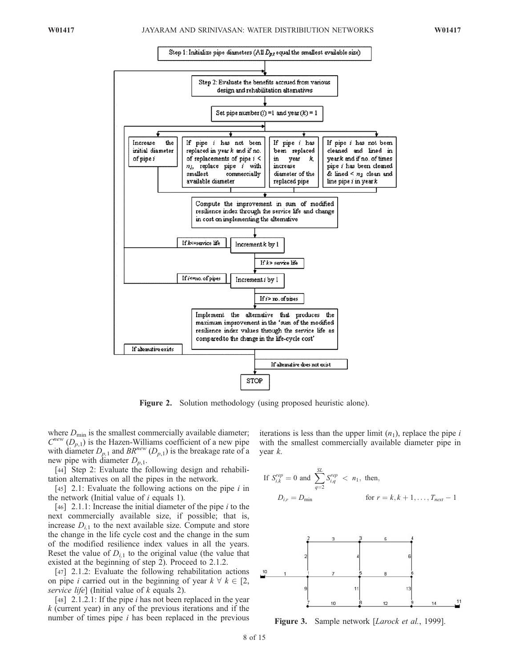

Figure 2. Solution methodology (using proposed heuristic alone).

where  $D_{\text{min}}$  is the smallest commercially available diameter;  $C^{new}(D_{p,1})$  is the Hazen-Williams coefficient of a new pipe with diameter  $D_{p,1}$  and  $BR^{new}(D_{p,1})$  is the breakage rate of a new pipe with diameter  $D_{p,1}$ .

[44] Step 2: Evaluate the following design and rehabilitation alternatives on all the pipes in the network.

[45] 2.1: Evaluate the following actions on the pipe  $i$  in the network (Initial value of  $i$  equals 1).

[46] 2.1.1: Increase the initial diameter of the pipe  $i$  to the next commercially available size, if possible; that is, increase  $D_{i,1}$  to the next available size. Compute and store the change in the life cycle cost and the change in the sum of the modified resilience index values in all the years. Reset the value of  $D_{i,1}$  to the original value (the value that existed at the beginning of step 2). Proceed to 2.1.2.

[47] 2.1.2: Evaluate the following rehabilitation actions on pipe *i* carried out in the beginning of year  $k \forall k \in [2, 1]$ service life] (Initial value of  $k$  equals 2).

[48] 2.1.2.1: If the pipe *i* has not been replaced in the year  $k$  (current year) in any of the previous iterations and if the number of times pipe *i* has been replaced in the previous

iterations is less than the upper limit  $(n_1)$ , replace the pipe i with the smallest commercially available diameter pipe in year k.

If 
$$
S_{i,k}^{rep} = 0
$$
 and  $\sum_{q=2}^{SL} S_{i,q}^{rep} < n_1$ , then,  
\n $D_{i,r} = D_{\min}$  for  $r = k, k + 1, ..., T_{next} - 1$ 



Figure 3. Sample network [*Larock et al.*, 1999].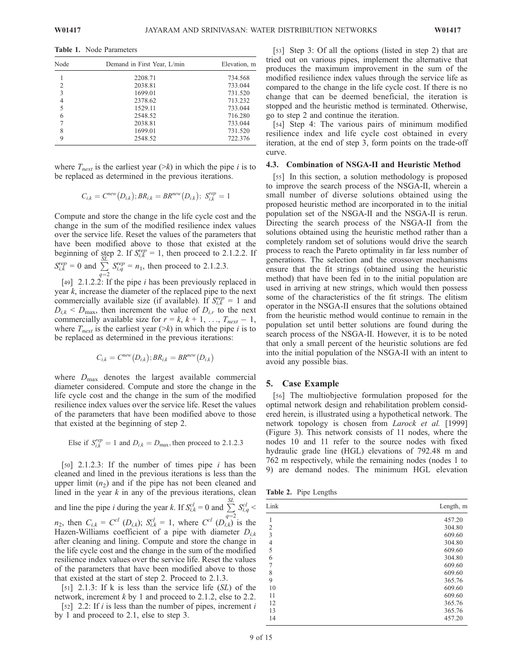Table 1. Node Parameters

| Node | Demand in First Year, L/min | Elevation, m |
|------|-----------------------------|--------------|
|      | 2208.71                     | 734.568      |
| 2    | 2038.81                     | 733.044      |
| 3    | 1699.01                     | 731.520      |
| 4    | 2378.62                     | 713.232      |
| 5    | 1529.11                     | 733.044      |
| 6    | 2548.52                     | 716.280      |
|      | 2038.81                     | 733.044      |
| 8    | 1699.01                     | 731.520      |
| 9    | 2548.52                     | 722.376      |

where  $T_{next}$  is the earliest year (>k) in which the pipe i is to be replaced as determined in the previous iterations.

$$
C_{i,k} = C^{new}(D_{i,k}); BR_{i,k} = BR^{new}(D_{i,k}); S_{i,k}^{rep} = 1
$$

Compute and store the change in the life cycle cost and the change in the sum of the modified resilience index values over the service life. Reset the values of the parameters that have been modified above to those that existed at the beginning of step 2. If  $S_{i,k}^{rep} = 1$ , then proceed to 2.1.2.2. If  $S_{i,k}^{rep} = 0$  and  $\sum_{k=1}^{S}$  $\sum_{q=2}^{5} S_{i,q}^{rep} = n_1$ , then proceed to 2.1.2.3.

[49] 2.1.2.2: If the pipe *i* has been previously replaced in year  $k$ , increase the diameter of the replaced pipe to the next commercially available size (if available). If  $S_{i,k}^{rep} = 1$  and  $D_{i,k}$  <  $D_{\text{max}}$ , then increment the value of  $D_{i,r}$  to the next commercially available size for  $r = k$ ,  $k + 1, \ldots, T_{next} - 1$ , where  $T_{next}$  is the earliest year ( $\geq k$ ) in which the pipe *i* is to be replaced as determined in the previous iterations:

$$
C_{i,k} = C^{new}(D_{i,k}); BR_{i,k} = BR^{new}(D_{i,k})
$$

where  $D_{\text{max}}$  denotes the largest available commercial diameter considered. Compute and store the change in the life cycle cost and the change in the sum of the modified resilience index values over the service life. Reset the values of the parameters that have been modified above to those that existed at the beginning of step 2.

Else if 
$$
S_{i,k}^{rep} = 1
$$
 and  $D_{i,k} = D_{\text{max}}$ , then proceed to 2.1.2.3

[50] 2.1.2.3: If the number of times pipe  $i$  has been cleaned and lined in the previous iterations is less than the upper limit  $(n_2)$  and if the pipe has not been cleaned and lined in the year  $k$  in any of the previous iterations, clean and line the pipe *i* during the year *k*. If  $S_{i,k}^{cl} = 0$  and  $\sum_{i=1}^{SL}$  $\sum_{q=2}^{56} S_{i,q}^{cl} <$  $n_2$ , then  $C_{i,k} = C^{cl} (D_{i,k})$ ;  $S_{i,k}^{cl} = 1$ , where  $C^{cl} (D_{i,k}^{q-2})$  is the Hazen-Williams coefficient of a pipe with diameter  $D_{i,k}$ after cleaning and lining. Compute and store the change in the life cycle cost and the change in the sum of the modified resilience index values over the service life. Reset the values of the parameters that have been modified above to those that existed at the start of step 2. Proceed to 2.1.3.

[51] 2.1.3: If k is less than the service life (SL) of the network, increment  $k$  by 1 and proceed to 2.1.2, else to 2.2.

[52] 2.2: If i is less than the number of pipes, increment i by 1 and proceed to 2.1, else to step 3.

[53] Step 3: Of all the options (listed in step 2) that are tried out on various pipes, implement the alternative that produces the maximum improvement in the sum of the modified resilience index values through the service life as compared to the change in the life cycle cost. If there is no change that can be deemed beneficial, the iteration is stopped and the heuristic method is terminated. Otherwise, go to step 2 and continue the iteration.

[54] Step 4: The various pairs of minimum modified resilience index and life cycle cost obtained in every iteration, at the end of step 3, form points on the trade-off curve.

### 4.3. Combination of NSGA-II and Heuristic Method

[55] In this section, a solution methodology is proposed to improve the search process of the NSGA-II, wherein a small number of diverse solutions obtained using the proposed heuristic method are incorporated in to the initial population set of the NSGA-II and the NSGA-II is rerun. Directing the search process of the NSGA-II from the solutions obtained using the heuristic method rather than a completely random set of solutions would drive the search process to reach the Pareto optimality in far less number of generations. The selection and the crossover mechanisms ensure that the fit strings (obtained using the heuristic method) that have been fed in to the initial population are used in arriving at new strings, which would then possess some of the characteristics of the fit strings. The elitism operator in the NSGA-II ensures that the solutions obtained from the heuristic method would continue to remain in the population set until better solutions are found during the search process of the NSGA-II. However, it is to be noted that only a small percent of the heuristic solutions are fed into the initial population of the NSGA-II with an intent to avoid any possible bias.

# 5. Case Example

[56] The multiobjective formulation proposed for the optimal network design and rehabilitation problem considered herein, is illustrated using a hypothetical network. The network topology is chosen from *Larock et al.* [1999] (Figure 3). This network consists of 11 nodes, where the nodes 10 and 11 refer to the source nodes with fixed hydraulic grade line (HGL) elevations of 792.48 m and 762 m respectively, while the remaining nodes (nodes 1 to 9) are demand nodes. The minimum HGL elevation

Table 2. Pipe Lengths

| Link           | Length, m |
|----------------|-----------|
|                | 457.20    |
| $\overline{2}$ | 304.80    |
| 3              | 609.60    |
| $\overline{4}$ | 304.80    |
| 5              | 609.60    |
| 6              | 304.80    |
| 7              | 609.60    |
| 8              | 609.60    |
| 9              | 365.76    |
| 10             | 609.60    |
| 11             | 609.60    |
| 12             | 365.76    |
| 13             | 365.76    |
| 14             | 457.20    |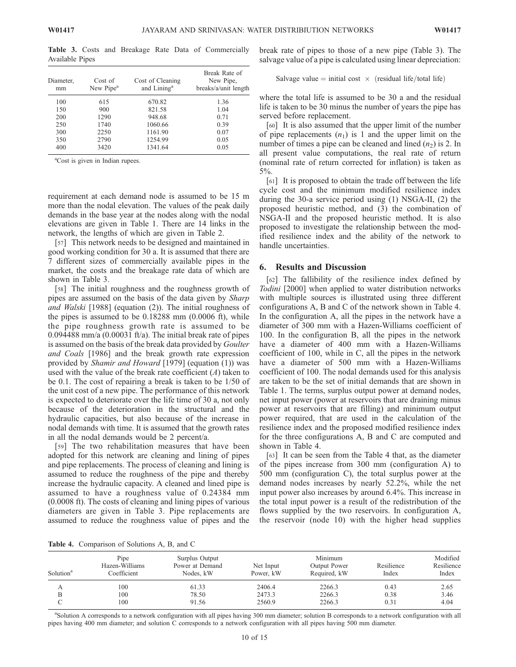Table 3. Costs and Breakage Rate Data of Commercially Available Pipes

| Diameter,<br>mm | Cost of<br>New Pipe <sup>a</sup> | Cost of Cleaning<br>and Lining <sup>a</sup> | Break Rate of<br>New Pipe,<br>breaks/a/unit length |
|-----------------|----------------------------------|---------------------------------------------|----------------------------------------------------|
| 100             | 615                              | 670.82                                      | 1.36                                               |
| 150             | 900                              | 821.58                                      | 1.04                                               |
| 200             | 1290                             | 948.68                                      | 0.71                                               |
| 250             | 1740                             | 1060.66                                     | 0.39                                               |
| 300             | 2250                             | 1161.90                                     | 0.07                                               |
| 350             | 2790                             | 1254.99                                     | 0.05                                               |
| 400             | 3420                             | 1341.64                                     | 0.05                                               |

<sup>a</sup>Cost is given in Indian rupees.

requirement at each demand node is assumed to be 15 m more than the nodal elevation. The values of the peak daily demands in the base year at the nodes along with the nodal elevations are given in Table 1. There are 14 links in the network, the lengths of which are given in Table 2.

[57] This network needs to be designed and maintained in good working condition for 30 a. It is assumed that there are 7 different sizes of commercially available pipes in the market, the costs and the breakage rate data of which are shown in Table 3.

[58] The initial roughness and the roughness growth of pipes are assumed on the basis of the data given by Sharp and Walski [1988] (equation (2)). The initial roughness of the pipes is assumed to be 0.18288 mm (0.0006 ft), while the pipe roughness growth rate is assumed to be  $0.094488$  mm/a  $(0.00031$  ft/a). The initial break rate of pipes is assumed on the basis of the break data provided by *Goulter* and Coals [1986] and the break growth rate expression provided by Shamir and Howard [1979] (equation (1)) was used with the value of the break rate coefficient  $(A)$  taken to be 0.1. The cost of repairing a break is taken to be 1/50 of the unit cost of a new pipe. The performance of this network is expected to deteriorate over the life time of 30 a, not only because of the deterioration in the structural and the hydraulic capacities, but also because of the increase in nodal demands with time. It is assumed that the growth rates in all the nodal demands would be 2 percent/a.

[59] The two rehabilitation measures that have been adopted for this network are cleaning and lining of pipes and pipe replacements. The process of cleaning and lining is assumed to reduce the roughness of the pipe and thereby increase the hydraulic capacity. A cleaned and lined pipe is assumed to have a roughness value of 0.24384 mm (0.0008 ft). The costs of cleaning and lining pipes of various diameters are given in Table 3. Pipe replacements are assumed to reduce the roughness value of pipes and the Salvage value = initial cost  $\times$  (residual life/total life)

break rate of pipes to those of a new pipe (Table 3). The salvage value of a pipe is calculated using linear depreciation:

where the total life is assumed to be 30 a and the residual life is taken to be 30 minus the number of years the pipe has served before replacement.

[60] It is also assumed that the upper limit of the number of pipe replacements  $(n_1)$  is 1 and the upper limit on the number of times a pipe can be cleaned and lined  $(n_2)$  is 2. In all present value computations, the real rate of return (nominal rate of return corrected for inflation) is taken as 5%.

[61] It is proposed to obtain the trade off between the life cycle cost and the minimum modified resilience index during the 30-a service period using (1) NSGA-II, (2) the proposed heuristic method, and (3) the combination of NSGA-II and the proposed heuristic method. It is also proposed to investigate the relationship between the modified resilience index and the ability of the network to handle uncertainties.

# 6. Results and Discussion

[62] The fallibility of the resilience index defined by Todini [2000] when applied to water distribution networks with multiple sources is illustrated using three different configurations A, B and C of the network shown in Table 4. In the configuration A, all the pipes in the network have a diameter of 300 mm with a Hazen-Williams coefficient of 100. In the configuration B, all the pipes in the network have a diameter of 400 mm with a Hazen-Williams coefficient of 100, while in C, all the pipes in the network have a diameter of 500 mm with a Hazen-Williams coefficient of 100. The nodal demands used for this analysis are taken to be the set of initial demands that are shown in Table 1. The terms, surplus output power at demand nodes, net input power (power at reservoirs that are draining minus power at reservoirs that are filling) and minimum output power required, that are used in the calculation of the resilience index and the proposed modified resilience index for the three configurations A, B and C are computed and shown in Table 4.

[63] It can be seen from the Table 4 that, as the diameter of the pipes increase from 300 mm (configuration A) to 500 mm (configuration C), the total surplus power at the demand nodes increases by nearly 52.2%, while the net input power also increases by around 6.4%. This increase in the total input power is a result of the redistribution of the flows supplied by the two reservoirs. In configuration A, the reservoir (node 10) with the higher head supplies

Table 4. Comparison of Solutions A, B, and C

| Solution <sup>a</sup> | Pipe<br>Hazen-Williams<br>Coefficient | Surplus Output<br>Power at Demand<br>Nodes, kW | Net Input<br>Power, kW | Minimum<br>Output Power<br>Required, kW | Resilience<br>Index | Modified<br>Resilience<br>Index |
|-----------------------|---------------------------------------|------------------------------------------------|------------------------|-----------------------------------------|---------------------|---------------------------------|
| А                     | 100                                   | 61.33                                          | 2406.4                 | 2266.3                                  | 0.43                | 2.65                            |
| В                     | 100                                   | 78.50                                          | 2473.3                 | 2266.3                                  | 0.38                | 3.46                            |
|                       | 100                                   | 91.56                                          | 2560.9                 | 2266.3                                  | 0.31                | 4.04                            |

a Solution A corresponds to a network configuration with all pipes having 300 mm diameter; solution B corresponds to a network configuration with all pipes having 400 mm diameter; and solution C corresponds to a network configuration with all pipes having 500 mm diameter.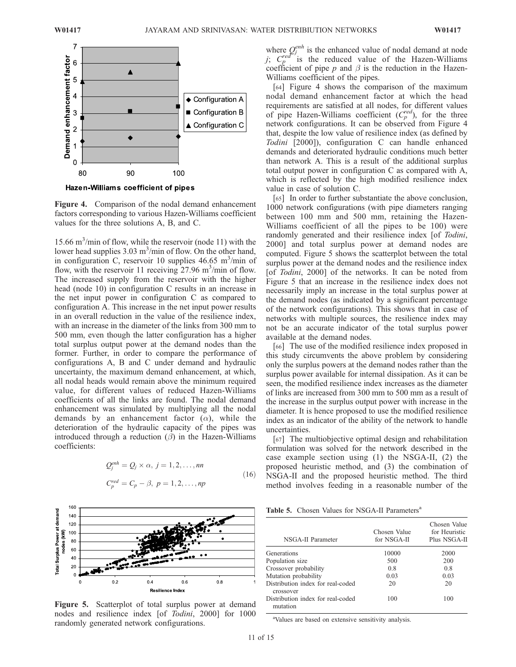

Hazen-Williams coefficient of pipes

Figure 4. Comparison of the nodal demand enhancement factors corresponding to various Hazen-Williams coefficient values for the three solutions A, B, and C.

15.66 m<sup>3</sup> /min of flow, while the reservoir (node 11) with the lower head supplies  $3.03 \text{ m}^3/\text{min}$  of flow. On the other hand, in configuration C, reservoir 10 supplies 46.65 m<sup>3</sup>/min of flow, with the reservoir 11 receiving  $27.96 \text{ m}^3/\text{min}$  of flow. The increased supply from the reservoir with the higher head (node 10) in configuration C results in an increase in the net input power in configuration C as compared to configuration A. This increase in the net input power results in an overall reduction in the value of the resilience index, with an increase in the diameter of the links from 300 mm to 500 mm, even though the latter configuration has a higher total surplus output power at the demand nodes than the former. Further, in order to compare the performance of configurations A, B and C under demand and hydraulic uncertainty, the maximum demand enhancement, at which, all nodal heads would remain above the minimum required value, for different values of reduced Hazen-Williams coefficients of all the links are found. The nodal demand enhancement was simulated by multiplying all the nodal demands by an enhancement factor  $(\alpha)$ , while the deterioration of the hydraulic capacity of the pipes was introduced through a reduction  $(\beta)$  in the Hazen-Williams coefficients:

$$
Q_j^{enh} = Q_j \times \alpha, j = 1, 2, \dots, nn
$$
  
\n
$$
C_p^{red} = C_p - \beta, p = 1, 2, \dots, np
$$
\n(16)



Figure 5. Scatterplot of total surplus power at demand nodes and resilience index [of Todini, 2000] for 1000 randomly generated network configurations.

where  $Q_j^{enh}$  is the enhanced value of nodal demand at node *i*;  $C_p^{red}$  is the reduced value of the Hazen-Williams coefficient of pipe p and  $\beta$  is the reduction in the Hazen-Williams coefficient of the pipes.

[64] Figure 4 shows the comparison of the maximum nodal demand enhancement factor at which the head requirements are satisfied at all nodes, for different values of pipe Hazen-Williams coefficient  $(C_p^{red})$ , for the three network configurations. It can be observed from Figure 4 that, despite the low value of resilience index (as defined by Todini [2000]), configuration C can handle enhanced demands and deteriorated hydraulic conditions much better than network A. This is a result of the additional surplus total output power in configuration C as compared with A, which is reflected by the high modified resilience index value in case of solution C.

[65] In order to further substantiate the above conclusion, 1000 network configurations (with pipe diameters ranging between 100 mm and 500 mm, retaining the Hazen-Williams coefficient of all the pipes to be 100) were randomly generated and their resilience index [of *Todini*, 2000] and total surplus power at demand nodes are computed. Figure 5 shows the scatterplot between the total surplus power at the demand nodes and the resilience index [of *Todini*, 2000] of the networks. It can be noted from Figure 5 that an increase in the resilience index does not necessarily imply an increase in the total surplus power at the demand nodes (as indicated by a significant percentage of the network configurations). This shows that in case of networks with multiple sources, the resilience index may not be an accurate indicator of the total surplus power available at the demand nodes.

[66] The use of the modified resilience index proposed in this study circumvents the above problem by considering only the surplus powers at the demand nodes rather than the surplus power available for internal dissipation. As it can be seen, the modified resilience index increases as the diameter of links are increased from 300 mm to 500 mm as a result of the increase in the surplus output power with increase in the diameter. It is hence proposed to use the modified resilience index as an indicator of the ability of the network to handle uncertainties.

[67] The multiobjective optimal design and rehabilitation formulation was solved for the network described in the case example section using (1) the NSGA-II, (2) the proposed heuristic method, and (3) the combination of NSGA-II and the proposed heuristic method. The third method involves feeding in a reasonable number of the

|  |  |  |  |  | Table 5. Chosen Values for NSGA-II Parameters <sup>a</sup> |
|--|--|--|--|--|------------------------------------------------------------|
|--|--|--|--|--|------------------------------------------------------------|

| NSGA-II Parameter                              | Chosen Value<br>for NSGA-II | Chosen Value<br>for Heuristic<br>Plus NSGA-II |
|------------------------------------------------|-----------------------------|-----------------------------------------------|
| Generations                                    | 10000                       | 2000                                          |
| Population size                                | 500                         | 200                                           |
| Crossover probability                          | 0.8                         | 0.8                                           |
| Mutation probability                           | 0.03                        | 0.03                                          |
| Distribution index for real-coded<br>crossover | 20                          | 20                                            |
| Distribution index for real-coded<br>mutation  | 100                         | 100                                           |

<sup>a</sup>Values are based on extensive sensitivity analysis.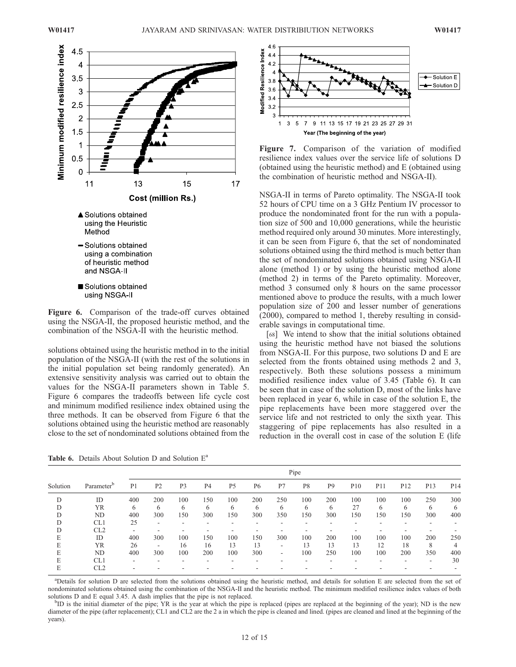

Figure 6. Comparison of the trade-off curves obtained using the NSGA-II, the proposed heuristic method, and the combination of the NSGA-II with the heuristic method.

solutions obtained using the heuristic method in to the initial population of the NSGA-II (with the rest of the solutions in the initial population set being randomly generated). An extensive sensitivity analysis was carried out to obtain the values for the NSGA-II parameters shown in Table 5. Figure 6 compares the tradeoffs between life cycle cost and minimum modified resilience index obtained using the three methods. It can be observed from Figure 6 that the solutions obtained using the heuristic method are reasonably close to the set of nondominated solutions obtained from the

Table 6. Details About Solution D and Solution E<sup>a</sup>



Figure 7. Comparison of the variation of modified resilience index values over the service life of solutions D (obtained using the heuristic method) and E (obtained using the combination of heuristic method and NSGA-II).

NSGA-II in terms of Pareto optimality. The NSGA-II took 52 hours of CPU time on a 3 GHz Pentium IV processor to produce the nondominated front for the run with a population size of 500 and 10,000 generations, while the heuristic method required only around 30 minutes. More interestingly, it can be seen from Figure 6, that the set of nondominated solutions obtained using the third method is much better than the set of nondominated solutions obtained using NSGA-II alone (method 1) or by using the heuristic method alone (method 2) in terms of the Pareto optimality. Moreover, method 3 consumed only 8 hours on the same processor mentioned above to produce the results, with a much lower population size of 200 and lesser number of generations (2000), compared to method 1, thereby resulting in considerable savings in computational time.

[68] We intend to show that the initial solutions obtained using the heuristic method have not biased the solutions from NSGA-II. For this purpose, two solutions D and E are selected from the fronts obtained using methods 2 and 3, respectively. Both these solutions possess a minimum modified resilience index value of 3.45 (Table 6). It can be seen that in case of the solution D, most of the links have been replaced in year 6, while in case of the solution E, the pipe replacements have been more staggered over the service life and not restricted to only the sixth year. This staggering of pipe replacements has also resulted in a reduction in the overall cost in case of the solution E (life

| Solution | Pipe                   |                |                |                |                |                |                |     |     |                |                 |            |                 |                 |                 |
|----------|------------------------|----------------|----------------|----------------|----------------|----------------|----------------|-----|-----|----------------|-----------------|------------|-----------------|-----------------|-----------------|
|          | Parameter <sup>b</sup> | P <sub>1</sub> | P <sub>2</sub> | P <sub>3</sub> | P <sub>4</sub> | P <sub>5</sub> | P <sub>6</sub> | P7  | P8  | P <sub>9</sub> | P <sub>10</sub> | <b>P11</b> | P <sub>12</sub> | P <sub>13</sub> | P <sub>14</sub> |
| D        | ID                     | 400            | 200            | 100            | 150            | 100            | 200            | 250 | 100 | 200            | 100             | 100        | 100             | 250             | 300             |
| D        | YR                     | 6              | 6              | 6              | 6              | 6              | 6              | 6   | 6   | 6              | 27              | 6          | 6               | 6               | -6              |
|          | ND                     | 400            | 300            | 150            | 300            | 150            | 300            | 350 | 150 | 300            | 150             | 150        | 150             | 300             | 400             |
| D        | CL1                    | 25             | ۰              | ۰              |                | ۰              |                |     |     | -              | -               | ۰          |                 | -               |                 |
| D        | CL2                    | ۰              |                |                |                |                |                |     |     |                |                 |            |                 |                 |                 |
| E        | ID                     | 400            | 300            | 100            | 150            | 100            | 150            | 300 | 100 | 200            | 100             | 100        | 100             | 200             | 250             |
| E        | YR                     | 26             | ۰              | 16             | 16             | 13             | 13             | ۰   | 13  | 13             | 13              | 12         | 18              | 8               | $\overline{4}$  |
| E        | ND                     | 400            | 300            | 100            | 200            | 100            | 300            |     | 100 | 250            | 100             | 100        | 200             | 350             | 400             |
| E        | CL1                    | ۰              |                | ۰              |                | ۰              |                |     |     |                |                 |            |                 | -               | 30              |
| E        | CL2                    | ۰              |                |                |                |                |                |     |     |                |                 |            |                 |                 |                 |

<sup>a</sup>Details for solution D are selected from the solutions obtained using the heuristic method, and details for solution E are selected from the set of nondominated solutions obtained using the combination of the NSGA-II and the heuristic method. The minimum modified resilience index values of both solutions D and E equal 3.45. A dash implies that the pipe is not replaced.

<sup>b</sup>ID is the initial diameter of the pipe; YR is the year at which the pipe is replaced (pipes are replaced at the beginning of the year); ND is the new diameter of the pipe (after replacement); CL1 and CL2 are the 2 a in which the pipe is cleaned and lined. (pipes are cleaned and lined at the beginning of the years).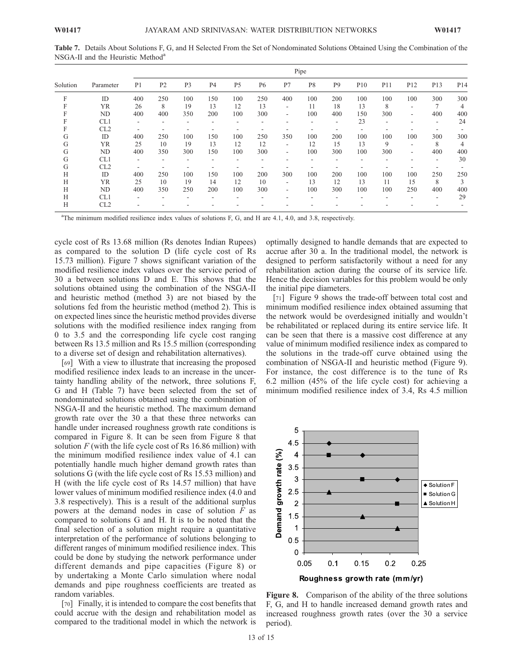Table 7. Details About Solutions F, G, and H Selected From the Set of Nondominated Solutions Obtained Using the Combination of the NSGA-II and the Heuristic Method<sup>a</sup>

| Solution |                 | Pipe           |                |                |                          |                          |           |                          |     |                |                          |     |                          |     |                |
|----------|-----------------|----------------|----------------|----------------|--------------------------|--------------------------|-----------|--------------------------|-----|----------------|--------------------------|-----|--------------------------|-----|----------------|
|          | Parameter       | P <sub>1</sub> | P <sub>2</sub> | P <sub>3</sub> | P <sub>4</sub>           | P <sub>5</sub>           | <b>P6</b> | P7                       | P8  | P <sub>9</sub> | P10                      | P11 | P <sub>12</sub>          | P13 | P14            |
| F        | ID              | 400            | 250            | 100            | 150                      | 100                      | 250       | 400                      | 100 | 200            | 100                      | 100 | 100                      | 300 | 300            |
| F        | <b>YR</b>       | 26             | 8              | 19             | 13                       | 12                       | 13        | ۰                        | 11  | 18             | 13                       | 8   | ٠                        | 7   | $\overline{4}$ |
| F        | ND              | 400            | 400            | 350            | 200                      | 100                      | 300       | $\overline{\phantom{a}}$ | 100 | 400            | 150                      | 300 | $\overline{\phantom{a}}$ | 400 | 400            |
| F        | CL1             | ۰              |                |                |                          |                          |           |                          |     | ۰              | 23                       |     |                          | ۰   | 24             |
| F        | CL2             | ٠              |                |                |                          |                          |           |                          |     | ۰              | $\overline{\phantom{a}}$ |     |                          |     |                |
| G        | ID              | 400            | 250            | 100            | 150                      | 100                      | 250       | 350                      | 100 | 200            | 100                      | 100 | 100                      | 300 | 300            |
| G        | YR              | 25             | 10             | 19             | 13                       | 12                       | 12        | $\overline{\phantom{a}}$ | 12  | 15             | 13                       | 9   | $\overline{\phantom{a}}$ | 8   | $\overline{4}$ |
| G        | ND              | 400            | 350            | 300            | 150                      | 100                      | 300       | $\sim$                   | 100 | 300            | 100                      | 300 | $\overline{\phantom{a}}$ | 400 | 400            |
| G        | CL1             | ۰              |                |                |                          |                          |           |                          |     |                | $\overline{\phantom{a}}$ |     |                          | -   | 30             |
| G        | CL <sub>2</sub> | ۰              |                |                |                          |                          |           |                          | ۰   | ۰              | $\overline{\phantom{a}}$ |     |                          | ۰   |                |
| Н        | ID              | 400            | 250            | 100            | 150                      | 100                      | 200       | 300                      | 100 | 200            | 100                      | 100 | 100                      | 250 | 250            |
| Н        | <b>YR</b>       | 25             | 10             | 19             | 14                       | 12                       | 10        | $\overline{\phantom{a}}$ | 13  | 12             | 13                       | 11  | 15                       | 8   | 3              |
| Н        | ND              | 400            | 350            | 250            | 200                      | 100                      | 300       | ۰                        | 100 | 300            | 100                      | 100 | 250                      | 400 | 400            |
| Н        | CL1             | ۰              | ٠              | ۰              | $\overline{\phantom{a}}$ | $\overline{\phantom{a}}$ | -         |                          | ٠   | ۰              | ٠                        | -   | ٠                        | ٠   | 29             |
| Н        | CL2             |                |                |                |                          |                          |           |                          |     |                |                          |     |                          |     |                |

<sup>a</sup>The minimum modified resilience index values of solutions F, G, and H are 4.1, 4.0, and 3.8, respectively.

cycle cost of Rs 13.68 million (Rs denotes Indian Rupees) as compared to the solution D (life cycle cost of Rs 15.73 million). Figure 7 shows significant variation of the modified resilience index values over the service period of 30 a between solutions D and E. This shows that the solutions obtained using the combination of the NSGA-II and heuristic method (method 3) are not biased by the solutions fed from the heuristic method (method 2). This is on expected lines since the heuristic method provides diverse solutions with the modified resilience index ranging from 0 to 3.5 and the corresponding life cycle cost ranging between Rs 13.5 million and Rs 15.5 million (corresponding to a diverse set of design and rehabilitation alternatives).

[69] With a view to illustrate that increasing the proposed modified resilience index leads to an increase in the uncertainty handling ability of the network, three solutions F, G and H (Table 7) have been selected from the set of nondominated solutions obtained using the combination of NSGA-II and the heuristic method. The maximum demand growth rate over the 30 a that these three networks can handle under increased roughness growth rate conditions is compared in Figure 8. It can be seen from Figure 8 that solution  $F$  (with the life cycle cost of Rs 16.86 million) with the minimum modified resilience index value of 4.1 can potentially handle much higher demand growth rates than solutions G (with the life cycle cost of Rs 15.53 million) and H (with the life cycle cost of Rs 14.57 million) that have lower values of minimum modified resilience index (4.0 and 3.8 respectively). This is a result of the additional surplus powers at the demand nodes in case of solution F as compared to solutions G and H. It is to be noted that the final selection of a solution might require a quantitative interpretation of the performance of solutions belonging to different ranges of minimum modified resilience index. This could be done by studying the network performance under different demands and pipe capacities (Figure 8) or by undertaking a Monte Carlo simulation where nodal demands and pipe roughness coefficients are treated as random variables.

[70] Finally, it is intended to compare the cost benefits that could accrue with the design and rehabilitation model as compared to the traditional model in which the network is optimally designed to handle demands that are expected to accrue after 30 a. In the traditional model, the network is designed to perform satisfactorily without a need for any rehabilitation action during the course of its service life. Hence the decision variables for this problem would be only the initial pipe diameters.

[71] Figure 9 shows the trade-off between total cost and minimum modified resilience index obtained assuming that the network would be overdesigned initially and wouldn't be rehabilitated or replaced during its entire service life. It can be seen that there is a massive cost difference at any value of minimum modified resilience index as compared to the solutions in the trade-off curve obtained using the combination of NSGA-II and heuristic method (Figure 9). For instance, the cost difference is to the tune of Rs 6.2 million (45% of the life cycle cost) for achieving a minimum modified resilience index of 3.4, Rs 4.5 million



Figure 8. Comparison of the ability of the three solutions F, G, and H to handle increased demand growth rates and increased roughness growth rates (over the 30 a service period).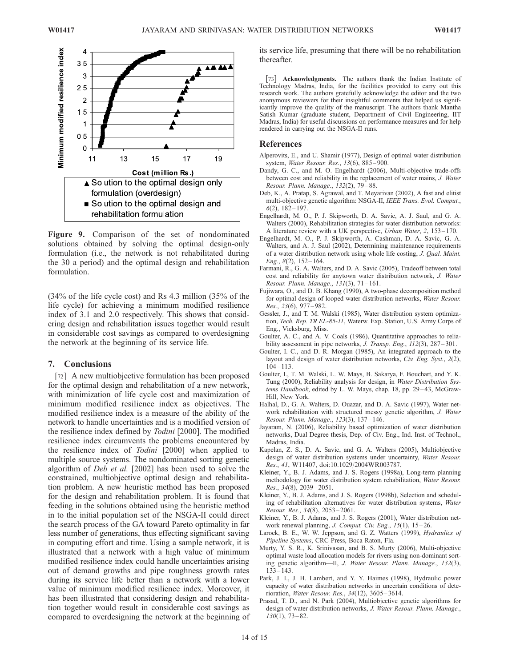

Figure 9. Comparison of the set of nondominated solutions obtained by solving the optimal design-only formulation (i.e., the network is not rehabilitated during the 30 a period) and the optimal design and rehabilitation formulation.

(34% of the life cycle cost) and Rs 4.3 million (35% of the life cycle) for achieving a minimum modified resilience index of 3.1 and 2.0 respectively. This shows that considering design and rehabilitation issues together would result in considerable cost savings as compared to overdesigning the network at the beginning of its service life.

### 7. Conclusions

[72] A new multiobjective formulation has been proposed for the optimal design and rehabilitation of a new network, with minimization of life cycle cost and maximization of minimum modified resilience index as objectives. The modified resilience index is a measure of the ability of the network to handle uncertainties and is a modified version of the resilience index defined by Todini [2000]. The modified resilience index circumvents the problems encountered by the resilience index of Todini [2000] when applied to multiple source systems. The nondominated sorting genetic algorithm of Deb et al. [2002] has been used to solve the constrained, multiobjective optimal design and rehabilitation problem. A new heuristic method has been proposed for the design and rehabilitation problem. It is found that feeding in the solutions obtained using the heuristic method in to the initial population set of the NSGA-II could direct the search process of the GA toward Pareto optimality in far less number of generations, thus effecting significant saving in computing effort and time. Using a sample network, it is illustrated that a network with a high value of minimum modified resilience index could handle uncertainties arising out of demand growths and pipe roughness growth rates during its service life better than a network with a lower value of minimum modified resilience index. Moreover, it has been illustrated that considering design and rehabilitation together would result in considerable cost savings as compared to overdesigning the network at the beginning of its service life, presuming that there will be no rehabilitation thereafter.

[73] **Acknowledgments.** The authors thank the Indian Institute of Technology Madras, India, for the facilities provided to carry out this research work. The authors gratefully acknowledge the editor and the two anonymous reviewers for their insightful comments that helped us significantly improve the quality of the manuscript. The authors thank Mantha Satish Kumar (graduate student, Department of Civil Engineering, IIT Madras, India) for useful discussions on performance measures and for help rendered in carrying out the NSGA-II runs.

#### References

- Alperovits, E., and U. Shamir (1977), Design of optimal water distribution system, Water Resour. Res., 13(6), 885-900.
- Dandy, G. C., and M. O. Engelhardt (2006), Multi-objective trade-offs between cost and reliability in the replacement of water mains, J. Water Resour. Plann. Manage., 132(2), 79 – 88.
- Deb, K., A. Pratap, S. Agrawal, and T. Meyarivan (2002), A fast and elitist multi-objective genetic algorithm: NSGA-II, IEEE Trans. Evol. Comput.,  $6(2)$ ,  $182 - 197$ .
- Engelhardt, M. O., P. J. Skipworth, D. A. Savic, A. J. Saul, and G. A. Walters (2000), Rehabilitation strategies for water distribution networks: A literature review with a UK perspective, Urban Water, 2, 153-170.
- Engelhardt, M. O., P. J. Skipworth, A. Cashman, D. A. Savic, G. A. Walters, and A. J. Saul (2002), Determining maintenance requirements of a water distribution network using whole life costing, J. Qual. Maint. Eng.,  $8(2)$ ,  $152 - 164$ .
- Farmani, R., G. A. Walters, and D. A. Savic (2005), Tradeoff between total cost and reliability for anytown water distribution network, J. Water Resour. Plann. Manage., 131(3), 71 – 161.
- Fujiwara, O., and D. B. Khang (1990), A two-phase decomposition method for optimal design of looped water distribution networks, Water Resour. Res., 23(6), 977 – 982.
- Gessler, J., and T. M. Walski (1985), Water distribution system optimization, Tech. Rep. TR EL-85-11, Waterw. Exp. Station, U.S. Army Corps of Eng., Vicksburg, Miss.
- Goulter, A. C., and A. V. Coals (1986), Quantitative approaches to reliability assessment in pipe networks, J. Transp. Eng., 112(3), 287-301.
- Goulter, I. C., and D. R. Morgan (1985), An integrated approach to the layout and design of water distribution networks, Civ. Eng. Syst., 2(2),  $104 - 113.$
- Goulter, I., T. M. Walski, L. W. Mays, B. Sakarya, F. Bouchart, and Y. K. Tung (2000), Reliability analysis for design, in Water Distribution Systems Handbook, edited by L. W. Mays, chap. 18, pp. 29-43, McGraw-Hill, New York.
- Halhal, D., G. A. Walters, D. Ouazar, and D. A. Savic (1997), Water network rehabilitation with structured messy genetic algorithm, J. Water Resour. Plann. Manage., 123(3), 137 – 146.
- Jayaram, N. (2006), Reliability based optimization of water distribution networks, Dual Degree thesis, Dep. of Civ. Eng., Ind. Inst. of Technol., Madras, India.
- Kapelan, Z. S., D. A. Savic, and G. A. Walters (2005), Multiobjective design of water distribution systems under uncertainty, Water Resour. Res., 41, W11407, doi:10.1029/2004WR003787.
- Kleiner, Y., B. J. Adams, and J. S. Rogers (1998a), Long-term planning methodology for water distribution system rehabilitation, Water Resour.  $Res.$ ,  $34(8)$ ,  $2039 - 2051$ .
- Kleiner, Y., B. J. Adams, and J. S. Rogers (1998b), Selection and scheduling of rehabilitation alternatives for water distribution systems, Water Resour. Res., 34(8), 2053 – 2061.
- Kleiner, Y., B. J. Adams, and J. S. Rogers (2001), Water distribution network renewal planning, J. Comput. Civ. Eng., 15(1), 15-26.
- Larock, B. E., W. W. Jeppson, and G. Z. Watters (1999), Hydraulics of Pipeline Systems, CRC Press, Boca Raton, Fla.
- Murty, Y. S. R., K. Srinivasan, and B. S. Murty (2006), Multi-objective optimal waste load allocation models for rivers using non-dominant sorting genetic algorithm—II, J. Water Resour. Plann. Manage., 132(3),  $133 - 143.$
- Park, J. I., J. H. Lambert, and Y. Y. Haimes (1998), Hydraulic power capacity of water distribution networks in uncertain conditions of deterioration, Water Resour. Res., 34(12), 3605-3614.
- Prasad, T. D., and N. Park (2004), Multiobjective genetic algorithms for design of water distribution networks, J. Water Resour. Plann. Manage.,  $130(1)$ ,  $73-82$ .